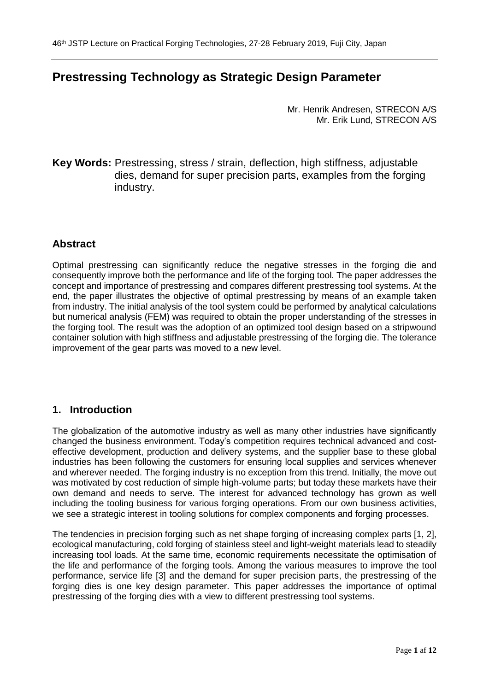# **Prestressing Technology as Strategic Design Parameter**

Mr. Henrik Andresen, STRECON A/S Mr. Erik Lund, STRECON A/S

**Key Words:** Prestressing, stress / strain, deflection, high stiffness, adjustable dies, demand for super precision parts, examples from the forging industry.

### **Abstract**

Optimal prestressing can significantly reduce the negative stresses in the forging die and consequently improve both the performance and life of the forging tool. The paper addresses the concept and importance of prestressing and compares different prestressing tool systems. At the end, the paper illustrates the objective of optimal prestressing by means of an example taken from industry. The initial analysis of the tool system could be performed by analytical calculations but numerical analysis (FEM) was required to obtain the proper understanding of the stresses in the forging tool. The result was the adoption of an optimized tool design based on a stripwound container solution with high stiffness and adjustable prestressing of the forging die. The tolerance improvement of the gear parts was moved to a new level.

#### **1. Introduction**

The globalization of the automotive industry as well as many other industries have significantly changed the business environment. Today's competition requires technical advanced and costeffective development, production and delivery systems, and the supplier base to these global industries has been following the customers for ensuring local supplies and services whenever and wherever needed. The forging industry is no exception from this trend. Initially, the move out was motivated by cost reduction of simple high-volume parts; but today these markets have their own demand and needs to serve. The interest for advanced technology has grown as well including the tooling business for various forging operations. From our own business activities, we see a strategic interest in tooling solutions for complex components and forging processes.

The tendencies in precision forging such as net shape forging of increasing complex parts [1, 2], ecological manufacturing, cold forging of stainless steel and light-weight materials lead to steadily increasing tool loads. At the same time, economic requirements necessitate the optimisation of the life and performance of the forging tools. Among the various measures to improve the tool performance, service life [3] and the demand for super precision parts, the prestressing of the forging dies is one key design parameter. This paper addresses the importance of optimal prestressing of the forging dies with a view to different prestressing tool systems.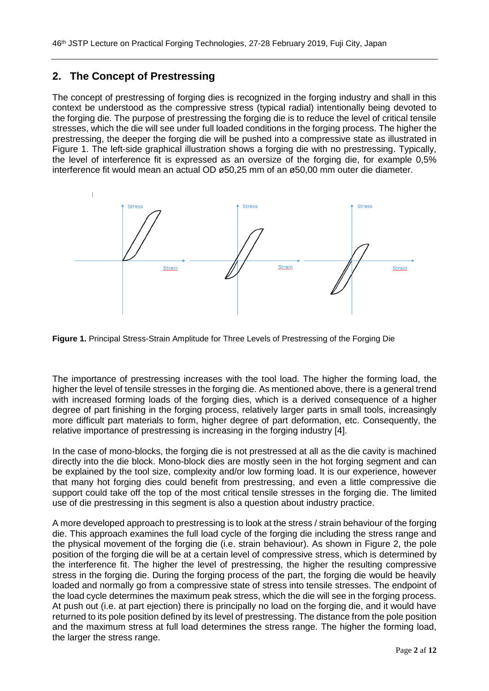### **2. The Concept of Prestressing**

The concept of prestressing of forging dies is recognized in the forging industry and shall in this context be understood as the compressive stress (typical radial) intentionally being devoted to the forging die. The purpose of prestressing the forging die is to reduce the level of critical tensile stresses, which the die will see under full loaded conditions in the forging process. The higher the prestressing, the deeper the forging die will be pushed into a compressive state as illustrated in Figure 1. The left-side graphical illustration shows a forging die with no prestressing. Typically, the level of interference fit is expressed as an oversize of the forging die, for example 0,5% interference fit would mean an actual OD ø50,25 mm of an ø50,00 mm outer die diameter.



**Figure 1.** Principal Stress-Strain Amplitude for Three Levels of Prestressing of the Forging Die

The importance of prestressing increases with the tool load. The higher the forming load, the higher the level of tensile stresses in the forging die. As mentioned above, there is a general trend with increased forming loads of the forging dies, which is a derived consequence of a higher degree of part finishing in the forging process, relatively larger parts in small tools, increasingly more difficult part materials to form, higher degree of part deformation, etc. Consequently, the relative importance of prestressing is increasing in the forging industry [4].

In the case of mono-blocks, the forging die is not prestressed at all as the die cavity is machined directly into the die block. Mono-block dies are mostly seen in the hot forging segment and can be explained by the tool size, complexity and/or low forming load. It is our experience, however that many hot forging dies could benefit from prestressing, and even a little compressive die support could take off the top of the most critical tensile stresses in the forging die. The limited use of die prestressing in this segment is also a question about industry practice.

A more developed approach to prestressing is to look at the stress / strain behaviour of the forging die. This approach examines the full load cycle of the forging die including the stress range and the physical movement of the forging die (i.e. strain behaviour). As shown in Figure 2, the pole position of the forging die will be at a certain level of compressive stress, which is determined by the interference fit. The higher the level of prestressing, the higher the resulting compressive stress in the forging die. During the forging process of the part, the forging die would be heavily loaded and normally go from a compressive state of stress into tensile stresses. The endpoint of the load cycle determines the maximum peak stress, which the die will see in the forging process. At push out (i.e. at part ejection) there is principally no load on the forging die, and it would have returned to its pole position defined by its level of prestressing. The distance from the pole position and the maximum stress at full load determines the stress range. The higher the forming load, the larger the stress range.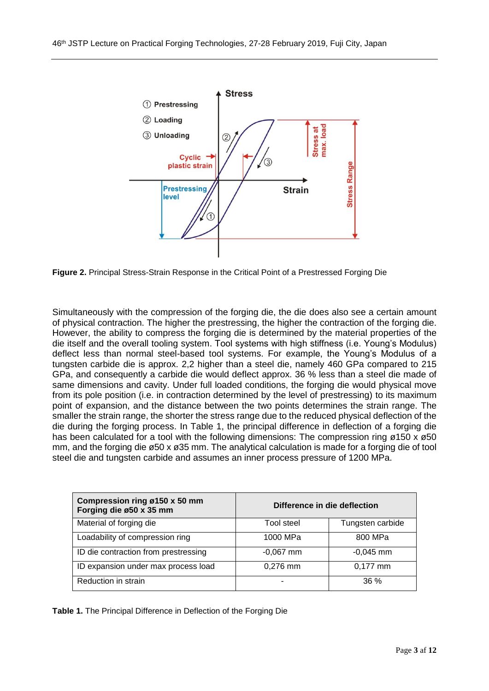

**Figure 2.** Principal Stress-Strain Response in the Critical Point of a Prestressed Forging Die

Simultaneously with the compression of the forging die, the die does also see a certain amount of physical contraction. The higher the prestressing, the higher the contraction of the forging die. However, the ability to compress the forging die is determined by the material properties of the die itself and the overall tooling system. Tool systems with high stiffness (i.e. Young's Modulus) deflect less than normal steel-based tool systems. For example, the Young's Modulus of a tungsten carbide die is approx. 2,2 higher than a steel die, namely 460 GPa compared to 215 GPa, and consequently a carbide die would deflect approx. 36 % less than a steel die made of same dimensions and cavity. Under full loaded conditions, the forging die would physical move from its pole position (i.e. in contraction determined by the level of prestressing) to its maximum point of expansion, and the distance between the two points determines the strain range. The smaller the strain range, the shorter the stress range due to the reduced physical deflection of the die during the forging process. In Table 1, the principal difference in deflection of a forging die has been calculated for a tool with the following dimensions: The compression ring ø150 x ø50 mm, and the forging die ø50 x ø35 mm. The analytical calculation is made for a forging die of tool steel die and tungsten carbide and assumes an inner process pressure of 1200 MPa.

| Compression ring ø150 x 50 mm<br>Forging die ø50 x 35 mm | Difference in die deflection |                  |
|----------------------------------------------------------|------------------------------|------------------|
| Material of forging die                                  | Tool steel                   | Tungsten carbide |
| Loadability of compression ring                          | 1000 MPa                     | 800 MPa          |
| ID die contraction from prestressing                     | $-0,067$ mm                  | $-0,045$ mm      |
| ID expansion under max process load                      | $0,276$ mm                   | $0,177$ mm       |
| Reduction in strain                                      |                              | $36\%$           |

**Table 1.** The Principal Difference in Deflection of the Forging Die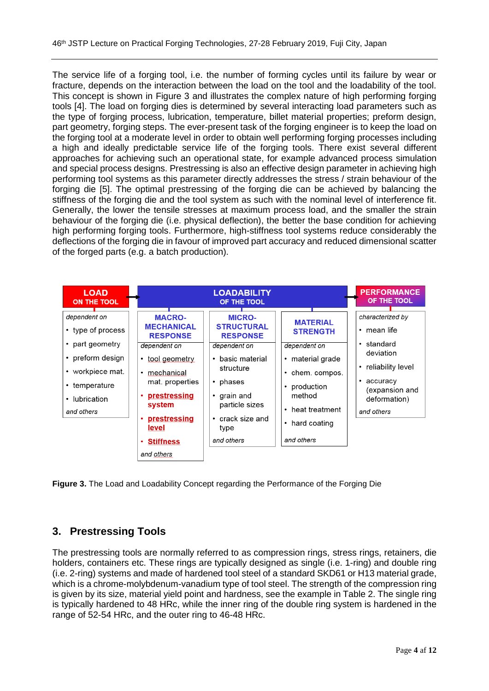The service life of a forging tool, i.e. the number of forming cycles until its failure by wear or fracture, depends on the interaction between the load on the tool and the loadability of the tool. This concept is shown in Figure 3 and illustrates the complex nature of high performing forging tools [4]. The load on forging dies is determined by several interacting load parameters such as the type of forging process, lubrication, temperature, billet material properties; preform design, part geometry, forging steps. The ever-present task of the forging engineer is to keep the load on the forging tool at a moderate level in order to obtain well performing forging processes including a high and ideally predictable service life of the forging tools. There exist several different approaches for achieving such an operational state, for example advanced process simulation and special process designs. Prestressing is also an effective design parameter in achieving high performing tool systems as this parameter directly addresses the stress / strain behaviour of the forging die [5]. The optimal prestressing of the forging die can be achieved by balancing the stiffness of the forging die and the tool system as such with the nominal level of interference fit. Generally, the lower the tensile stresses at maximum process load, and the smaller the strain behaviour of the forging die (i.e. physical deflection), the better the base condition for achieving high performing forging tools. Furthermore, high-stiffness tool systems reduce considerably the deflections of the forging die in favour of improved part accuracy and reduced dimensional scatter of the forged parts (e.g. a batch production).

| <b>LOAD</b><br><b>ON THE TOOL</b>                                                                                                                             |                                                                                                                                                                                                                                        | <b>LOADABILITY</b><br>OF THE TOOL                                                                                                                                                                              |                                                                                                                                                                         | <b>PERFORMANCE</b><br>OF THE TOOL                                                                                                                                                   |
|---------------------------------------------------------------------------------------------------------------------------------------------------------------|----------------------------------------------------------------------------------------------------------------------------------------------------------------------------------------------------------------------------------------|----------------------------------------------------------------------------------------------------------------------------------------------------------------------------------------------------------------|-------------------------------------------------------------------------------------------------------------------------------------------------------------------------|-------------------------------------------------------------------------------------------------------------------------------------------------------------------------------------|
| dependent on<br>• type of process<br>• part geometry<br>• preform design<br>$\cdot$ workpiece mat.<br>• temperature<br>lubrication<br>$\bullet$<br>and others | <b>MACRO-</b><br><b>MECHANICAL</b><br><b>RESPONSE</b><br>dependent on<br>tool geometry<br>$\bullet$<br>mechanical<br>$\bullet$<br>mat. properties<br>prestressing<br>system<br>prestressing<br>level<br><b>Stiffness</b><br>and others | <b>MICRO-</b><br><b>STRUCTURAL</b><br><b>RESPONSE</b><br>dependent on<br>basic material<br>$\bullet$<br>structure<br>phases<br>٠<br>grain and<br>٠<br>particle sizes<br>• crack size and<br>type<br>and others | <b>MATERIAL</b><br><b>STRENGTH</b><br>dependent on<br>$\cdot$ material grade<br>chem. compos.<br>production<br>method<br>• heat treatment<br>hard coating<br>and others | characterized by<br>mean life<br>$\bullet$<br>standard<br>$\bullet$<br>deviation<br>reliability level<br>$\bullet$<br>accuracy<br>٠<br>(expansion and<br>deformation)<br>and others |

**Figure 3.** The Load and Loadability Concept regarding the Performance of the Forging Die

# **3. Prestressing Tools**

The prestressing tools are normally referred to as compression rings, stress rings, retainers, die holders, containers etc. These rings are typically designed as single (i.e. 1-ring) and double ring (i.e. 2-ring) systems and made of hardened tool steel of a standard SKD61 or H13 material grade, which is a chrome-molybdenum-vanadium type of tool steel. The strength of the compression ring is given by its size, material yield point and hardness, see the example in Table 2. The single ring is typically hardened to 48 HRc, while the inner ring of the double ring system is hardened in the range of 52-54 HRc, and the outer ring to 46-48 HRc.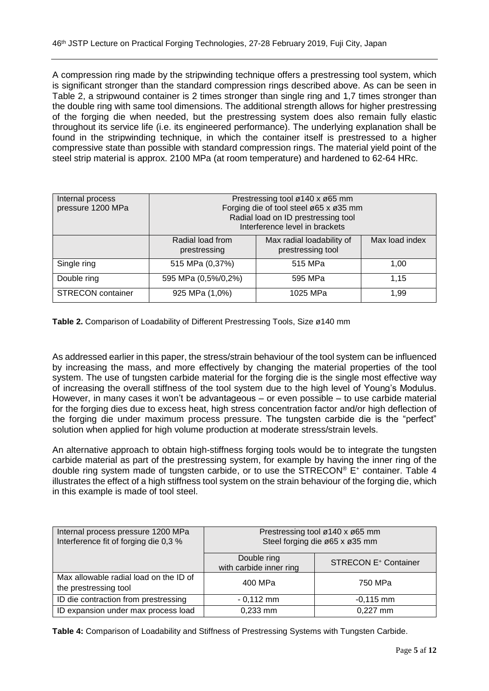A compression ring made by the stripwinding technique offers a prestressing tool system, which is significant stronger than the standard compression rings described above. As can be seen in Table 2, a stripwound container is 2 times stronger than single ring and 1,7 times stronger than the double ring with same tool dimensions. The additional strength allows for higher prestressing of the forging die when needed, but the prestressing system does also remain fully elastic throughout its service life (i.e. its engineered performance). The underlying explanation shall be found in the stripwinding technique, in which the container itself is prestressed to a higher compressive state than possible with standard compression rings. The material yield point of the steel strip material is approx. 2100 MPa (at room temperature) and hardened to 62-64 HRc.

| Internal process<br>pressure 1200 MPa | Prestressing tool ø140 x ø65 mm<br>Forging die of tool steel ø65 x ø35 mm<br>Radial load on ID prestressing tool<br>Interference level in brackets |                                                |                |
|---------------------------------------|----------------------------------------------------------------------------------------------------------------------------------------------------|------------------------------------------------|----------------|
|                                       | Radial load from<br>prestressing                                                                                                                   | Max radial loadability of<br>prestressing tool | Max load index |
| Single ring                           | 515 MPa (0,37%)                                                                                                                                    | 515 MPa                                        | 1,00           |
| Double ring                           | 595 MPa (0,5%/0,2%)                                                                                                                                | 595 MPa                                        | 1.15           |
| <b>STRECON</b> container              | 925 MPa (1,0%)                                                                                                                                     | 1025 MPa                                       | 1.99           |

**Table 2.** Comparison of Loadability of Different Prestressing Tools, Size ø140 mm

As addressed earlier in this paper, the stress/strain behaviour of the tool system can be influenced by increasing the mass, and more effectively by changing the material properties of the tool system. The use of tungsten carbide material for the forging die is the single most effective way of increasing the overall stiffness of the tool system due to the high level of Young's Modulus. However, in many cases it won't be advantageous – or even possible – to use carbide material for the forging dies due to excess heat, high stress concentration factor and/or high deflection of the forging die under maximum process pressure. The tungsten carbide die is the "perfect" solution when applied for high volume production at moderate stress/strain levels.

An alternative approach to obtain high-stiffness forging tools would be to integrate the tungsten carbide material as part of the prestressing system, for example by having the inner ring of the double ring system made of tungsten carbide, or to use the STRECON® E<sup>+</sup> container. Table 4 illustrates the effect of a high stiffness tool system on the strain behaviour of the forging die, which in this example is made of tool steel.

| Internal process pressure 1200 MPa<br>Interference fit of forging die 0,3 % | Prestressing tool ø140 x ø65 mm<br>Steel forging die ø65 x ø35 mm |                                        |  |
|-----------------------------------------------------------------------------|-------------------------------------------------------------------|----------------------------------------|--|
|                                                                             | Double ring<br>with carbide inner ring                            | <b>STRECON E<sup>+</sup> Container</b> |  |
| Max allowable radial load on the ID of<br>the prestressing tool             | 400 MPa                                                           | 750 MPa                                |  |
| ID die contraction from prestressing                                        | $-0,112$ mm                                                       | $-0,115$ mm                            |  |
| ID expansion under max process load                                         | 0,233 mm                                                          | 0,227 mm                               |  |

**Table 4:** Comparison of Loadability and Stiffness of Prestressing Systems with Tungsten Carbide.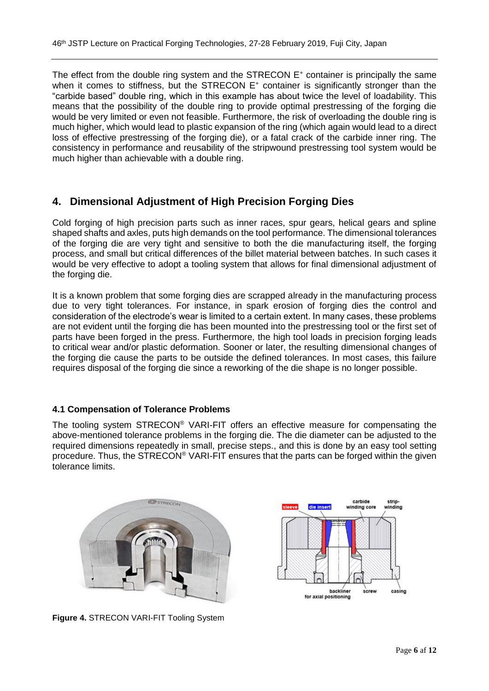The effect from the double ring system and the STRECON  $E^+$  container is principally the same when it comes to stiffness, but the STRECON  $E^+$  container is significantly stronger than the "carbide based" double ring, which in this example has about twice the level of loadability. This means that the possibility of the double ring to provide optimal prestressing of the forging die would be very limited or even not feasible. Furthermore, the risk of overloading the double ring is much higher, which would lead to plastic expansion of the ring (which again would lead to a direct loss of effective prestressing of the forging die), or a fatal crack of the carbide inner ring. The consistency in performance and reusability of the stripwound prestressing tool system would be much higher than achievable with a double ring.

## **4. Dimensional Adjustment of High Precision Forging Dies**

Cold forging of high precision parts such as inner races, spur gears, helical gears and spline shaped shafts and axles, puts high demands on the tool performance. The dimensional tolerances of the forging die are very tight and sensitive to both the die manufacturing itself, the forging process, and small but critical differences of the billet material between batches. In such cases it would be very effective to adopt a tooling system that allows for final dimensional adjustment of the forging die.

It is a known problem that some forging dies are scrapped already in the manufacturing process due to very tight tolerances. For instance, in spark erosion of forging dies the control and consideration of the electrode's wear is limited to a certain extent. In many cases, these problems are not evident until the forging die has been mounted into the prestressing tool or the first set of parts have been forged in the press. Furthermore, the high tool loads in precision forging leads to critical wear and/or plastic deformation. Sooner or later, the resulting dimensional changes of the forging die cause the parts to be outside the defined tolerances. In most cases, this failure requires disposal of the forging die since a reworking of the die shape is no longer possible.

#### **4.1 Compensation of Tolerance Problems**

The tooling system STRECON® VARI-FIT offers an effective measure for compensating the above-mentioned tolerance problems in the forging die. The die diameter can be adjusted to the required dimensions repeatedly in small, precise steps., and this is done by an easy tool setting procedure. Thus, the STRECON® VARI-FIT ensures that the parts can be forged within the given tolerance limits.



carbide stripvinding vinding core hackliner casino for axial positioning

**Figure 4.** STRECON VARI-FIT Tooling System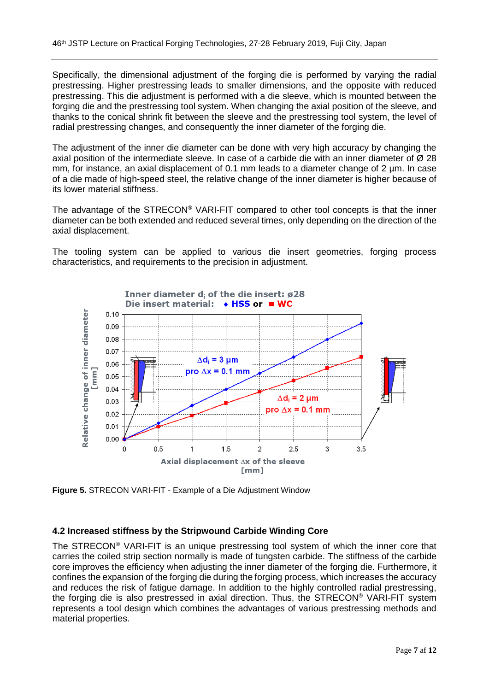Specifically, the dimensional adjustment of the forging die is performed by varying the radial prestressing. Higher prestressing leads to smaller dimensions, and the opposite with reduced prestressing. This die adjustment is performed with a die sleeve, which is mounted between the forging die and the prestressing tool system. When changing the axial position of the sleeve, and thanks to the conical shrink fit between the sleeve and the prestressing tool system, the level of radial prestressing changes, and consequently the inner diameter of the forging die.

The adjustment of the inner die diameter can be done with very high accuracy by changing the axial position of the intermediate sleeve. In case of a carbide die with an inner diameter of  $\varnothing$  28 mm, for instance, an axial displacement of 0.1 mm leads to a diameter change of 2 µm. In case of a die made of high-speed steel, the relative change of the inner diameter is higher because of its lower material stiffness.

The advantage of the STRECON® VARI-FIT compared to other tool concepts is that the inner diameter can be both extended and reduced several times, only depending on the direction of the axial displacement.

The tooling system can be applied to various die insert geometries, forging process characteristics, and requirements to the precision in adjustment.



**Figure 5.** STRECON VARI-FIT - Example of a Die Adjustment Window

#### **4.2 Increased stiffness by the Stripwound Carbide Winding Core**

The STRECON® VARI-FIT is an unique prestressing tool system of which the inner core that carries the coiled strip section normally is made of tungsten carbide. The stiffness of the carbide core improves the efficiency when adjusting the inner diameter of the forging die. Furthermore, it confines the expansion of the forging die during the forging process, which increases the accuracy and reduces the risk of fatigue damage. In addition to the highly controlled radial prestressing, the forging die is also prestressed in axial direction. Thus, the STRECON® VARI-FIT system represents a tool design which combines the advantages of various prestressing methods and material properties.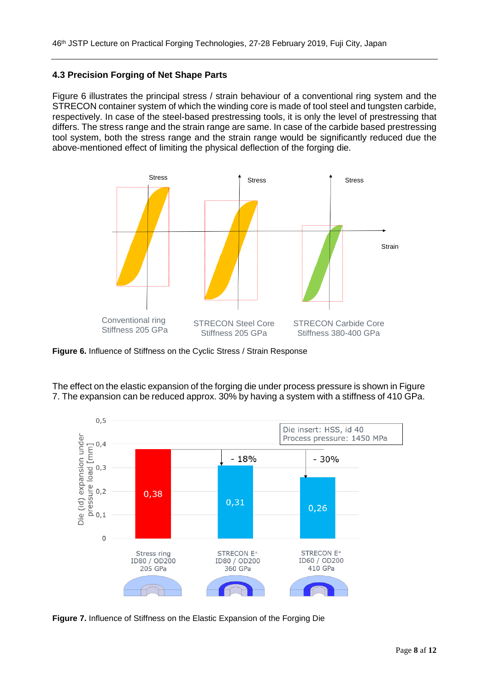#### **4.3 Precision Forging of Net Shape Parts**

Figure 6 illustrates the principal stress / strain behaviour of a conventional ring system and the STRECON container system of which the winding core is made of tool steel and tungsten carbide, respectively. In case of the steel-based prestressing tools, it is only the level of prestressing that differs. The stress range and the strain range are same. In case of the carbide based prestressing tool system, both the stress range and the strain range would be significantly reduced due the above-mentioned effect of limiting the physical deflection of the forging die.



**Figure 6.** Influence of Stiffness on the Cyclic Stress / Strain Response





**Figure 7.** Influence of Stiffness on the Elastic Expansion of the Forging Die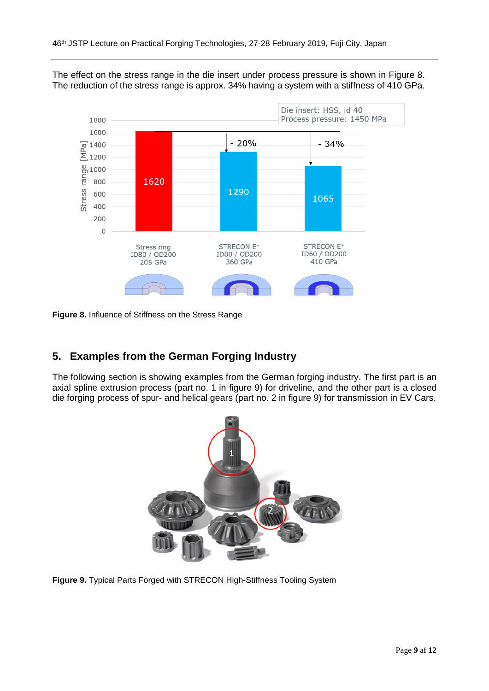

The effect on the stress range in the die insert under process pressure is shown in Figure 8. The reduction of the stress range is approx. 34% having a system with a stiffness of 410 GPa.

**Figure 8.** Influence of Stiffness on the Stress Range

### **5. Examples from the German Forging Industry**

The following section is showing examples from the German forging industry. The first part is an axial spline extrusion process (part no. 1 in figure 9) for driveline, and the other part is a closed die forging process of spur- and helical gears (part no. 2 in figure 9) for transmission in EV Cars.



**Figure 9.** Typical Parts Forged with STRECON High-Stiffness Tooling System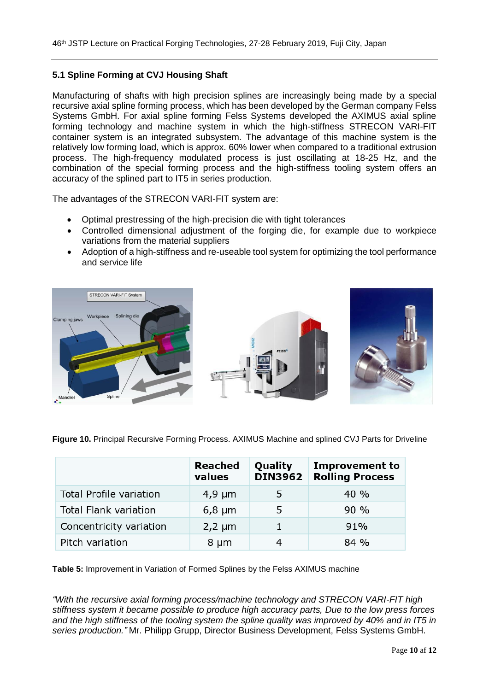#### **5.1 Spline Forming at CVJ Housing Shaft**

Manufacturing of shafts with high precision splines are increasingly being made by a special recursive axial spline forming process, which has been developed by the German company Felss Systems GmbH. For axial spline forming Felss Systems developed the AXIMUS axial spline forming technology and machine system in which the high-stiffness STRECON VARI-FIT container system is an integrated subsystem. The advantage of this machine system is the relatively low forming load, which is approx. 60% lower when compared to a traditional extrusion process. The high-frequency modulated process is just oscillating at 18-25 Hz, and the combination of the special forming process and the high-stiffness tooling system offers an accuracy of the splined part to IT5 in series production.

The advantages of the STRECON VARI-FIT system are:

- Optimal prestressing of the high-precision die with tight tolerances
- Controlled dimensional adjustment of the forging die, for example due to workpiece variations from the material suppliers
- Adoption of a high-stiffness and re-useable tool system for optimizing the tool performance and service life



**Figure 10.** Principal Recursive Forming Process. AXIMUS Machine and splined CVJ Parts for Driveline

|                         | <b>Reached</b><br>values | Quality<br><b>DIN3962</b> | <b>Improvement to</b><br><b>Rolling Process</b> |
|-------------------------|--------------------------|---------------------------|-------------------------------------------------|
| Total Profile variation | $4,9 \mu m$              | 5                         | 40 %                                            |
| Total Flank variation   | $6,8 \mu m$              | 5                         | 90%                                             |
| Concentricity variation | $2,2 \mu m$              | 1                         | 91%                                             |
| Pitch variation         | 8 µm                     |                           | 84%                                             |

**Table 5:** Improvement in Variation of Formed Splines by the Felss AXIMUS machine

*"With the recursive axial forming process/machine technology and STRECON VARI-FIT high stiffness system it became possible to produce high accuracy parts, Due to the low press forces and the high stiffness of the tooling system the spline quality was improved by 40% and in IT5 in series production."* Mr. Philipp Grupp, Director Business Development, Felss Systems GmbH.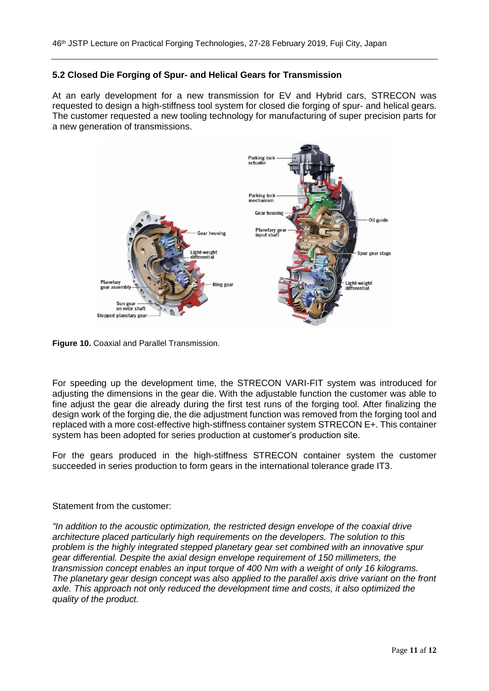#### **5.2 Closed Die Forging of Spur- and Helical Gears for Transmission**

At an early development for a new transmission for EV and Hybrid cars, STRECON was requested to design a high-stiffness tool system for closed die forging of spur- and helical gears. The customer requested a new tooling technology for manufacturing of super precision parts for a new generation of transmissions.



**Figure 10.** Coaxial and Parallel Transmission.

For speeding up the development time, the STRECON VARI-FIT system was introduced for adjusting the dimensions in the gear die. With the adjustable function the customer was able to fine adjust the gear die already during the first test runs of the forging tool. After finalizing the design work of the forging die, the die adjustment function was removed from the forging tool and replaced with a more cost-effective high-stiffness container system STRECON E+. This container system has been adopted for series production at customer's production site.

For the gears produced in the high-stiffness STRECON container system the customer succeeded in series production to form gears in the international tolerance grade IT3.

#### Statement from the customer:

*"In addition to the acoustic optimization, the restricted design envelope of the coaxial drive architecture placed particularly high requirements on the developers. The solution to this problem is the highly integrated stepped planetary gear set combined with an innovative spur gear differential. Despite the axial design envelope requirement of 150 millimeters, the transmission concept enables an input torque of 400 Nm with a weight of only 16 kilograms. The planetary gear design concept was also applied to the parallel axis drive variant on the front axle. This approach not only reduced the development time and costs, it also optimized the quality of the product.*